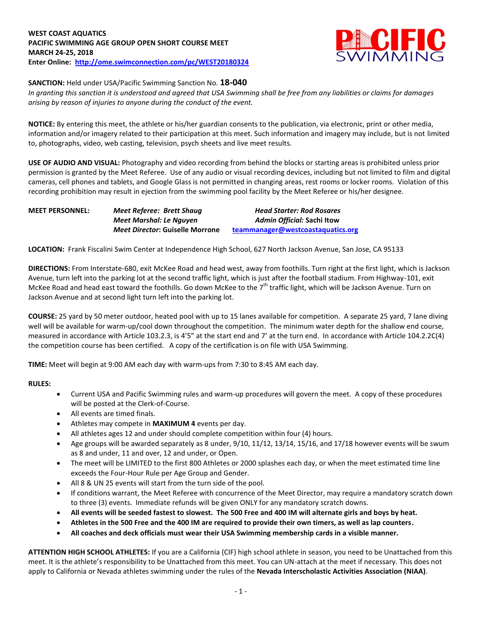

# **SANCTION:** Held under USA/Pacific Swimming Sanction No. **18-040**

*In granting this sanction it is understood and agreed that USA Swimming shall be free from any liabilities or claims for damages arising by reason of injuries to anyone during the conduct of the event.*

**NOTICE:** By entering this meet, the athlete or his/her guardian consents to the publication, via electronic, print or other media, information and/or imagery related to their participation at this meet. Such information and imagery may include, but is not limited to, photographs, video, web casting, television, psych sheets and live meet results.

**USE OF AUDIO AND VISUAL:** Photography and video recording from behind the blocks or starting areas is prohibited unless prior permission is granted by the Meet Referee. Use of any audio or visual recording devices, including but not limited to film and digital cameras, cell phones and tablets, and Google Glass is not permitted in changing areas, rest rooms or locker rooms. Violation of this recording prohibition may result in ejection from the swimming pool facility by the Meet Referee or his/her designee.

| <b>MEET PERSONNEL:</b> | Meet Referee: Brett Shaug       | <b>Head Starter: Rod Rosares</b>  |
|------------------------|---------------------------------|-----------------------------------|
|                        | Meet Marshal: Le Nauyen         | Admin Official: Sachi Itow        |
|                        | Meet Director: Guiselle Morrone | teammanager@westcoastaquatics.org |

**LOCATION:** Frank Fiscalini Swim Center at Independence High School, 627 North Jackson Avenue, San Jose, CA 95133

**DIRECTIONS:** From Interstate-680, exit McKee Road and head west, away from foothills. Turn right at the first light, which is Jackson Avenue, turn left into the parking lot at the second traffic light, which is just after the football stadium. From Highway-101, exit McKee Road and head east toward the foothills. Go down McKee to the 7<sup>th</sup> traffic light, which will be Jackson Avenue. Turn on Jackson Avenue and at second light turn left into the parking lot.

**COURSE:** 25 yard by 50 meter outdoor, heated pool with up to 15 lanes available for competition.A separate 25 yard, 7 lane diving well will be available for warm-up/cool down throughout the competition. The minimum water depth for the shallow end course, measured in accordance with Article 103.2.3, is 4'5" at the start end and 7' at the turn end. In accordance with Article 104.2.2C(4) the competition course has been certified. A copy of the certification is on file with USA Swimming.

**TIME:** Meet will begin at 9:00 AM each day with warm-ups from 7:30 to 8:45 AM each day.

# **RULES:**

- Current USA and Pacific Swimming rules and warm-up procedures will govern the meet. A copy of these procedures will be posted at the Clerk-of-Course.
- All events are timed finals.
- Athletes may compete in **MAXIMUM 4** events per day.
- All athletes ages 12 and under should complete competition within four (4) hours.
- Age groups will be awarded separately as 8 under, 9/10, 11/12, 13/14, 15/16, and 17/18 however events will be swum as 8 and under, 11 and over, 12 and under, or Open.
- The meet will be LIMITED to the first 800 Athletes or 2000 splashes each day, or when the meet estimated time line exceeds the Four-Hour Rule per Age Group and Gender.
- All 8 & UN 25 events will start from the turn side of the pool.
- If conditions warrant, the Meet Referee with concurrence of the Meet Director, may require a mandatory scratch down to three (3) events. Immediate refunds will be given ONLY for any mandatory scratch downs.
- **All events will be seeded fastest to slowest. The 500 Free and 400 IM will alternate girls and boys by heat.**
- **Athletes in the 500 Free and the 400 IM are required to provide their own timers, as well as lap counters.**
- **All coaches and deck officials must wear their USA Swimming membership cards in a visible manner.**

**ATTENTION HIGH SCHOOL ATHLETES:** If you are a California (CIF) high school athlete in season, you need to be Unattached from this meet. It is the athlete's responsibility to be Unattached from this meet. You can UN-attach at the meet if necessary. This does not apply to California or Nevada athletes swimming under the rules of the **Nevada Interscholastic Activities Association (NIAA)**.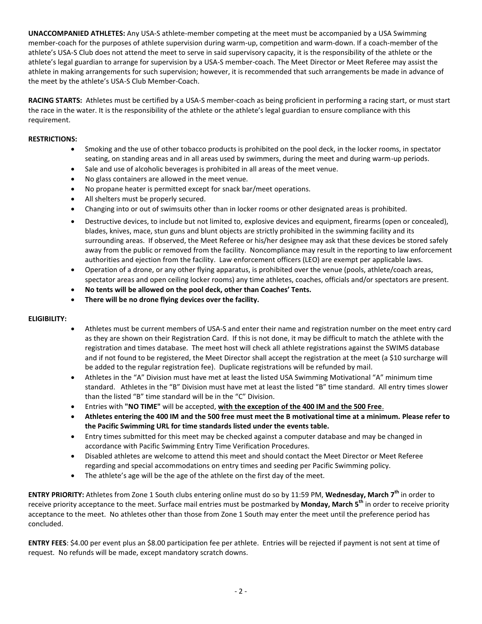**UNACCOMPANIED ATHLETES:** Any USA-S athlete-member competing at the meet must be accompanied by a USA Swimming member-coach for the purposes of athlete supervision during warm-up, competition and warm-down. If a coach-member of the athlete's USA-S Club does not attend the meet to serve in said supervisory capacity, it is the responsibility of the athlete or the athlete's legal guardian to arrange for supervision by a USA-S member-coach. The Meet Director or Meet Referee may assist the athlete in making arrangements for such supervision; however, it is recommended that such arrangements be made in advance of the meet by the athlete's USA-S Club Member-Coach.

**RACING STARTS:** Athletes must be certified by a USA-S member-coach as being proficient in performing a racing start, or must start the race in the water. It is the responsibility of the athlete or the athlete's legal guardian to ensure compliance with this requirement.

# **RESTRICTIONS:**

- Smoking and the use of other tobacco products is prohibited on the pool deck, in the locker rooms, in spectator seating, on standing areas and in all areas used by swimmers, during the meet and during warm-up periods.
- Sale and use of alcoholic beverages is prohibited in all areas of the meet venue.
- No glass containers are allowed in the meet venue.
- No propane heater is permitted except for snack bar/meet operations.
- All shelters must be properly secured.
- Changing into or out of swimsuits other than in locker rooms or other designated areas is prohibited.
- Destructive devices, to include but not limited to, explosive devices and equipment, firearms (open or concealed), blades, knives, mace, stun guns and blunt objects are strictly prohibited in the swimming facility and its surrounding areas. If observed, the Meet Referee or his/her designee may ask that these devices be stored safely away from the public or removed from the facility. Noncompliance may result in the reporting to law enforcement authorities and ejection from the facility. Law enforcement officers (LEO) are exempt per applicable laws.
- Operation of a drone, or any other flying apparatus, is prohibited over the venue (pools, athlete/coach areas, spectator areas and open ceiling locker rooms) any time athletes, coaches, officials and/or spectators are present.
- **No tents will be allowed on the pool deck, other than Coaches' Tents.**
- **There will be no drone flying devices over the facility.**

# **ELIGIBILITY:**

- Athletes must be current members of USA-S and enter their name and registration number on the meet entry card as they are shown on their Registration Card. If this is not done, it may be difficult to match the athlete with the registration and times database. The meet host will check all athlete registrations against the SWIMS database and if not found to be registered, the Meet Director shall accept the registration at the meet (a \$10 surcharge will be added to the regular registration fee). Duplicate registrations will be refunded by mail.
- Athletes in the "A" Division must have met at least the listed USA Swimming Motivational "A" minimum time standard. Athletes in the "B" Division must have met at least the listed "B" time standard. All entry times slower than the listed "B" time standard will be in the "C" Division.
- Entries with **"NO TIME"** will be accepted, **with the exception of the 400 IM and the 500 Free**.
- **Athletes entering the 400 IM and the 500 free must meet the B motivational time at a minimum. Please refer to the Pacific Swimming URL for time standards listed under the events table.**
- Entry times submitted for this meet may be checked against a computer database and may be changed in accordance with Pacific Swimming Entry Time Verification Procedures.
- Disabled athletes are welcome to attend this meet and should contact the Meet Director or Meet Referee regarding and special accommodations on entry times and seeding per Pacific Swimming policy.
- The athlete's age will be the age of the athlete on the first day of the meet.

**ENTRY PRIORITY:** Athletes from Zone 1 South clubs entering online must do so by 11:59 PM, **Wednesday, March 7th** in order to receive priority acceptance to the meet. Surface mail entries must be postmarked by **Monday, March 5th** in order to receive priority acceptance to the meet. No athletes other than those from Zone 1 South may enter the meet until the preference period has concluded.

**ENTRY FEES**: \$4.00 per event plus an \$8.00 participation fee per athlete. Entries will be rejected if payment is not sent at time of request. No refunds will be made, except mandatory scratch downs.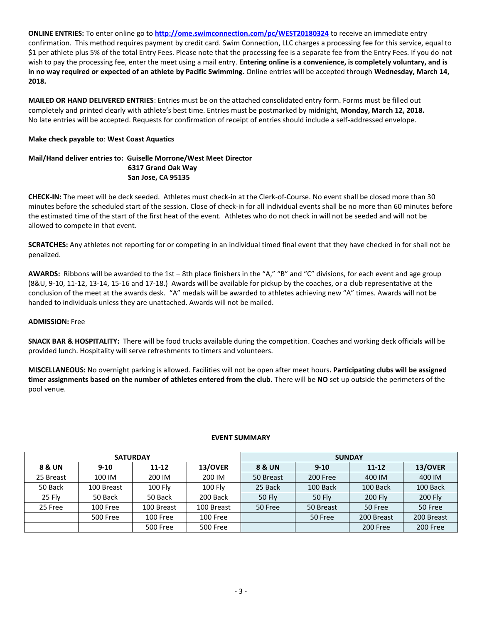**ONLINE ENTRIES:** To enter online go to **<http://ome.swimconnection.com/pc/WEST20180324>** to receive an immediate entry confirmation. This method requires payment by credit card. Swim Connection, LLC charges a processing fee for this service, equal to \$1 per athlete plus 5% of the total Entry Fees. Please note that the processing fee is a separate fee from the Entry Fees. If you do not wish to pay the processing fee, enter the meet using a mail entry. **Entering online is a convenience, is completely voluntary, and is in no way required or expected of an athlete by Pacific Swimming.** Online entries will be accepted through **Wednesday, March 14, 2018.**

**MAILED OR HAND DELIVERED ENTRIES**: Entries must be on the attached consolidated entry form. Forms must be filled out completely and printed clearly with athlete's best time. Entries must be postmarked by midnight, **Monday, March 12, 2018.**  No late entries will be accepted. Requests for confirmation of receipt of entries should include a self-addressed envelope.

# **Make check payable to**: **West Coast Aquatics**

# **Mail/Hand deliver entries to: Guiselle Morrone/West Meet Director 6317 Grand Oak Way San Jose, CA 95135**

**CHECK-IN:** The meet will be deck seeded. Athletes must check-in at the Clerk-of-Course. No event shall be closed more than 30 minutes before the scheduled start of the session. Close of check-in for all individual events shall be no more than 60 minutes before the estimated time of the start of the first heat of the event. Athletes who do not check in will not be seeded and will not be allowed to compete in that event.

**SCRATCHES:** Any athletes not reporting for or competing in an individual timed final event that they have checked in for shall not be penalized.

**AWARDS:** Ribbons will be awarded to the 1st – 8th place finishers in the "A," "B" and "C" divisions, for each event and age group (8&U, 9-10, 11-12, 13-14, 15-16 and 17-18.) Awards will be available for pickup by the coaches, or a club representative at the conclusion of the meet at the awards desk. "A" medals will be awarded to athletes achieving new "A" times. Awards will not be handed to individuals unless they are unattached. Awards will not be mailed.

# **ADMISSION:** Free

**SNACK BAR & HOSPITALITY:** There will be food trucks available during the competition. Coaches and working deck officials will be provided lunch. Hospitality will serve refreshments to timers and volunteers.

**MISCELLANEOUS:** No overnight parking is allowed. Facilities will not be open after meet hours**. Participating clubs will be assigned timer assignments based on the number of athletes entered from the club.** There will be **NO** set up outside the perimeters of the pool venue.

# **EVENT SUMMARY**

| <b>SATURDAY</b> |            |                 |                 | <b>SUNDAY</b> |               |                |                 |  |  |
|-----------------|------------|-----------------|-----------------|---------------|---------------|----------------|-----------------|--|--|
| 8 & UN          | $9 - 10$   | $11 - 12$       | 13/OVER         | 8 & UN        | $9 - 10$      | $11 - 12$      | 13/OVER         |  |  |
| 25 Breast       | 100 IM     | 200 IM          | 200 IM          | 50 Breast     | 200 Free      | 400 IM         | 400 IM          |  |  |
| 50 Back         | 100 Breast | <b>100 Fly</b>  | <b>100 Fly</b>  | 25 Back       | 100 Back      | 100 Back       | 100 Back        |  |  |
| <b>25 Flv</b>   | 50 Back    | 50 Back         | 200 Back        | <b>50 Flv</b> | <b>50 Flv</b> | <b>200 Flv</b> | <b>200 Fly</b>  |  |  |
| 25 Free         | 100 Free   | 100 Breast      | 100 Breast      | 50 Free       | 50 Breast     | 50 Free        | 50 Free         |  |  |
|                 | 500 Free   | 100 Free        | 100 Free        |               | 50 Free       | 200 Breast     | 200 Breast      |  |  |
|                 |            | <b>500 Free</b> | <b>500 Free</b> |               |               | 200 Free       | <b>200 Free</b> |  |  |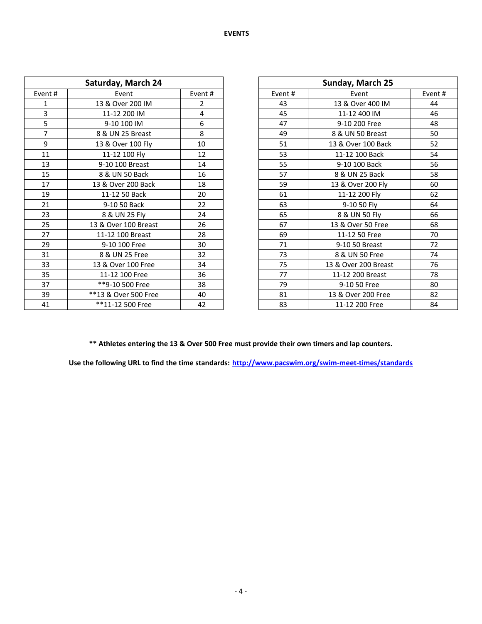| Saturday, March 24 |                      |        |         | Sunday, March 25     |         |
|--------------------|----------------------|--------|---------|----------------------|---------|
| Event#             | Event                | Event# | Event # | Event                | Event # |
| 1                  | 13 & Over 200 IM     | 2      | 43      | 13 & Over 400 IM     | 44      |
| 3                  | 11-12 200 IM         | 4      | 45      | 11-12 400 IM         | 46      |
| 5                  | 9-10 100 IM          | 6      | 47      | 9-10 200 Free        | 48      |
| $\overline{7}$     | 8 & UN 25 Breast     | 8      | 49      | 8 & UN 50 Breast     | 50      |
| 9                  | 13 & Over 100 Fly    | 10     | 51      | 13 & Over 100 Back   | 52      |
| 11                 | 11-12 100 Fly        | 12     | 53      | 11-12 100 Back       | 54      |
| 13                 | 9-10 100 Breast      | 14     | 55      | 9-10 100 Back        | 56      |
| 15                 | 8 & UN 50 Back       | 16     | 57      | 8 & UN 25 Back       | 58      |
| 17                 | 13 & Over 200 Back   | 18     | 59      | 13 & Over 200 Fly    | 60      |
| 19                 | 11-12 50 Back        | 20     | 61      | 11-12 200 Fly        | 62      |
| 21                 | 9-10 50 Back         | 22     | 63      | 9-10 50 Fly          | 64      |
| 23                 | 8 & UN 25 Fly        | 24     | 65      | 8 & UN 50 Fly        | 66      |
| 25                 | 13 & Over 100 Breast | 26     | 67      | 13 & Over 50 Free    | 68      |
| 27                 | 11-12 100 Breast     | 28     | 69      | 11-12 50 Free        | 70      |
| 29                 | 9-10 100 Free        | 30     | 71      | 9-10 50 Breast       | 72      |
| 31                 | 8 & UN 25 Free       | 32     | 73      | 8 & UN 50 Free       | 74      |
| 33                 | 13 & Over 100 Free   | 34     | 75      | 13 & Over 200 Breast | 76      |
| 35                 | 11-12 100 Free       | 36     | 77      | 11-12 200 Breast     | 78      |
| 37                 | **9-10 500 Free      | 38     | 79      | 9-10 50 Free         | 80      |
| 39                 | **13 & Over 500 Free | 40     | 81      | 13 & Over 200 Free   | 82      |
| 41                 | **11-12 500 Free     | 42     | 83      | 11-12 200 Free       | 84      |

| Sunday, March 25 |                      |        |  |  |  |  |  |
|------------------|----------------------|--------|--|--|--|--|--|
| Event#           | Event                | Event# |  |  |  |  |  |
| 43               | 13 & Over 400 IM     | 44     |  |  |  |  |  |
| 45               | 11-12 400 IM         | 46     |  |  |  |  |  |
| 47               | 9-10 200 Free        | 48     |  |  |  |  |  |
| 49               | 8 & UN 50 Breast     | 50     |  |  |  |  |  |
| 51               | 13 & Over 100 Back   | 52     |  |  |  |  |  |
| 53               | 11-12 100 Back       | 54     |  |  |  |  |  |
| 55               | 9-10 100 Back        | 56     |  |  |  |  |  |
| 57               | 8 & UN 25 Back       | 58     |  |  |  |  |  |
| 59               | 13 & Over 200 Fly    | 60     |  |  |  |  |  |
| 61               | 11-12 200 Fly        | 62     |  |  |  |  |  |
| 63               | 9-10 50 Fly          | 64     |  |  |  |  |  |
| 65               | 8 & UN 50 Fly        | 66     |  |  |  |  |  |
| 67               | 13 & Over 50 Free    | 68     |  |  |  |  |  |
| 69               | 11-12 50 Free        | 70     |  |  |  |  |  |
| 71               | 9-10 50 Breast       | 72     |  |  |  |  |  |
| 73               | 8 & UN 50 Free       | 74     |  |  |  |  |  |
| 75               | 13 & Over 200 Breast | 76     |  |  |  |  |  |
| 77               | 11-12 200 Breast     | 78     |  |  |  |  |  |
| 79               | 9-10 50 Free         | 80     |  |  |  |  |  |
| 81               | 13 & Over 200 Free   | 82     |  |  |  |  |  |
| 83               | 11-12 200 Free       | 84     |  |  |  |  |  |

**\*\* Athletes entering the 13 & Over 500 Free must provide their own timers and lap counters.**

**Use the following URL to find the time standards: <http://www.pacswim.org/swim-meet-times/standards>**